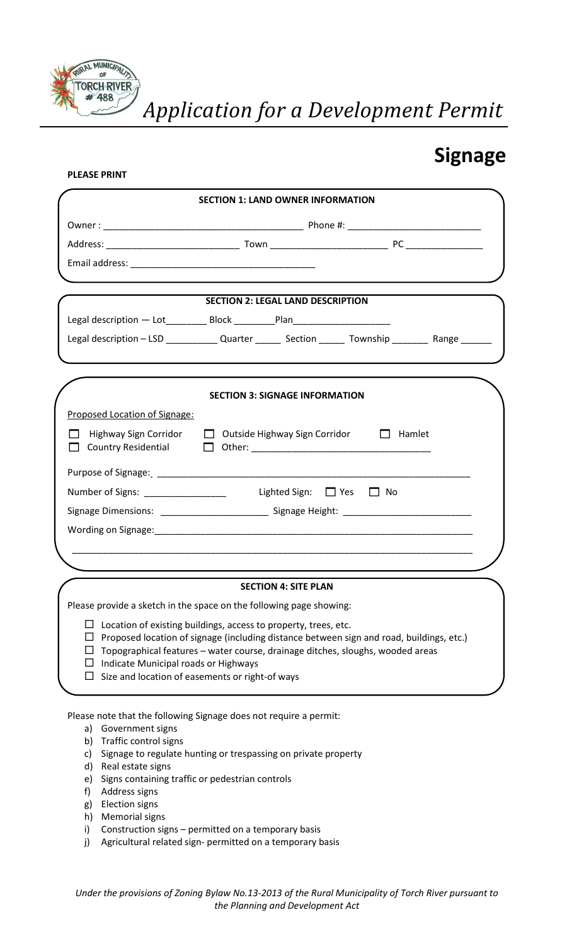

*Application for a Development Permit*

## **Signage**

|                                           | <b>SECTION 1: LAND OWNER INFORMATION</b>                                                                                                                                                                    |                                                                                                                       |  |  |
|-------------------------------------------|-------------------------------------------------------------------------------------------------------------------------------------------------------------------------------------------------------------|-----------------------------------------------------------------------------------------------------------------------|--|--|
|                                           |                                                                                                                                                                                                             |                                                                                                                       |  |  |
|                                           |                                                                                                                                                                                                             |                                                                                                                       |  |  |
|                                           |                                                                                                                                                                                                             |                                                                                                                       |  |  |
|                                           | <b>SECTION 2: LEGAL LAND DESCRIPTION</b>                                                                                                                                                                    |                                                                                                                       |  |  |
|                                           |                                                                                                                                                                                                             |                                                                                                                       |  |  |
|                                           |                                                                                                                                                                                                             | Legal description - LSD ______________ Quarter __________ Section ________ Township __________ Range ________         |  |  |
|                                           | <b>SECTION 3: SIGNAGE INFORMATION</b>                                                                                                                                                                       |                                                                                                                       |  |  |
| Proposed Location of Signage:             |                                                                                                                                                                                                             |                                                                                                                       |  |  |
|                                           | Highway Sign Corridor □ Outside Highway Sign Corridor □ Hamlet                                                                                                                                              |                                                                                                                       |  |  |
|                                           |                                                                                                                                                                                                             |                                                                                                                       |  |  |
|                                           | Number of Signs: __________________ Lighted Sign: □ Yes □ No                                                                                                                                                |                                                                                                                       |  |  |
|                                           |                                                                                                                                                                                                             | Signage Dimensions: ________________________________Signage Height: ________________________________                  |  |  |
|                                           |                                                                                                                                                                                                             |                                                                                                                       |  |  |
|                                           |                                                                                                                                                                                                             | <u> 1989 - Johann John Stone, market fan de Fryske kunstne fan de fan de fan de fan de fan de fan de fan de fan d</u> |  |  |
|                                           | <b>SECTION 4: SITE PLAN</b>                                                                                                                                                                                 |                                                                                                                       |  |  |
|                                           | Please provide a sketch in the space on the following page showing:                                                                                                                                         |                                                                                                                       |  |  |
| ⊔<br>Indicate Municipal roads or Highways | $\Box$ Location of existing buildings, access to property, trees, etc.<br>Topographical features - water course, drainage ditches, sloughs, wooded areas<br>Size and location of easements or right-of ways | Proposed location of signage (including distance between sign and road, buildings, etc.)                              |  |  |

Please note that the following Signage does not require a permit:

- a) Government signs
- b) Traffic control signs
- c) Signage to regulate hunting or trespassing on private property
- d) Real estate signs
- e) Signs containing traffic or pedestrian controls
- f) Address signs
- g) Election signs
- h) Memorial signs
- i) Construction signs permitted on a temporary basis
- j) Agricultural related sign- permitted on a temporary basis